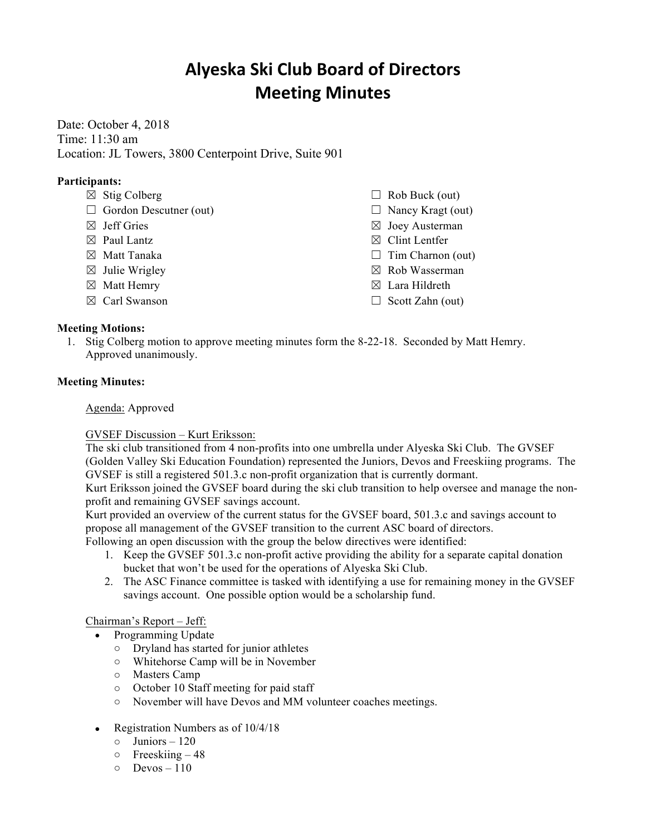# **Alyeska Ski Club Board of Directors Meeting Minutes**

Date: October 4, 2018 Time: 11:30 am Location: JL Towers, 3800 Centerpoint Drive, Suite 901

## **Participants:**

- $\boxtimes$  Stig Colberg
- $\Box$  Gordon Descutner (out)
- $\boxtimes$  Jeff Gries
- $\boxtimes$  Paul Lantz
- ☒ Matt Tanaka
- $\boxtimes$  Julie Wrigley
- ☒ Matt Hemry
- ☒ Carl Swanson
- $\Box$  Rob Buck (out)
- $\Box$  Nancy Kragt (out)
- ☒ Joey Austerman
- ☒ Clint Lentfer
- $\Box$  Tim Charnon (out)
- ☒ Rob Wasserman
- ☒ Lara Hildreth
- $\Box$  Scott Zahn (out)

## **Meeting Motions:**

1. Stig Colberg motion to approve meeting minutes form the 8-22-18. Seconded by Matt Hemry. Approved unanimously.

#### **Meeting Minutes:**

Agenda: Approved

## GVSEF Discussion – Kurt Eriksson:

The ski club transitioned from 4 non-profits into one umbrella under Alyeska Ski Club. The GVSEF (Golden Valley Ski Education Foundation) represented the Juniors, Devos and Freeskiing programs. The GVSEF is still a registered 501.3.c non-profit organization that is currently dormant.

Kurt Eriksson joined the GVSEF board during the ski club transition to help oversee and manage the nonprofit and remaining GVSEF savings account.

Kurt provided an overview of the current status for the GVSEF board, 501.3.c and savings account to propose all management of the GVSEF transition to the current ASC board of directors.

Following an open discussion with the group the below directives were identified:

- 1. Keep the GVSEF 501.3.c non-profit active providing the ability for a separate capital donation bucket that won't be used for the operations of Alyeska Ski Club.
- 2. The ASC Finance committee is tasked with identifying a use for remaining money in the GVSEF savings account. One possible option would be a scholarship fund.

## Chairman's Report – Jeff:

- Programming Update
	- o Dryland has started for junior athletes
	- o Whitehorse Camp will be in November
	- o Masters Camp
	- o October 10 Staff meeting for paid staff
	- o November will have Devos and MM volunteer coaches meetings.
- Registration Numbers as of  $10/4/18$ 
	- o Juniors 120
	- $\circ$  Freeskiing  $-48$
	- $O P$  Devos 110